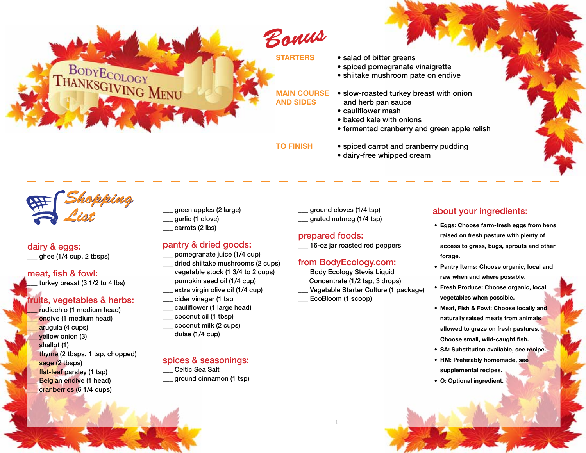**STARTERS** • salad of bitter greens

- spiced pomegranate vinaigrette
- shiitake mushroom pate on endive

- **MAIN COURSE** . Slow-roasted turkey breast with onion **AND SIDES** and herb pan sauce
	- cauliflower mash
	- baked kale with onions
	- fermented cranberry and green apple relish
- **to finish** spiced carrot and cranberry pudding
	- dairy-free whipped cream

*Shopping List*

BODYECOLOGY<br>THANKSGIVING MENU

### dairy & eggs: ghee (1/4 cup, 2 tbsps)

### meat, fish & fowl:

turkey breast  $(3 1/2$  to 4 lbs)

### fruits, vegetables & herbs:

radicchio (1 medium head) endive (1 medium head) arugula (4 cups) yellow onion (3) shallot (1) thyme (2 tbsps, 1 tsp, chopped) sage (2 tbsps) flat-leaf parsley (1 tsp) Belgian endive (1 head) cranberries (6 1/4 cups)

- \_\_\_ green apples (2 large)
- \_\_\_ garlic (1 clove)
- carrots (2 lbs)

### pantry & dried goods:

- pomegranate juice (1/4 cup)
- dried shiitake mushrooms (2 cups)
- vegetable stock (1 3/4 to 2 cups)
- pumpkin seed oil (1/4 cup) extra virgin olive oil (1/4 cup)
- cider vinegar (1 tsp
- cauliflower (1 large head)
- \_\_\_ coconut oil (1 tbsp)
- \_\_\_ coconut milk (2 cups)
- dulse (1/4 cup)

### spices & seasonings:

Celtic Sea Salt \_\_\_ ground cinnamon (1 tsp) \_\_\_ ground cloves (1/4 tsp) \_\_\_ grated nutmeg (1/4 tsp)

### prepared foods:

\_\_\_ 16-oz jar roasted red peppers

### from BodyEcology.com:

Body Ecology Stevia Liquid Concentrate (1/2 tsp, 3 drops) Vegetable Starter Culture (1 package) EcoBloom (1 scoop)

### about your ingredients:

- **• Eggs: Choose farm-fresh eggs from hens raised on fresh pasture with plenty of access to grass, bugs, sprouts and other forage.**
- **• Pantry Items: Choose organic, local and raw when and where possible.**
- **• Fresh Produce: Choose organic, local vegetables when possible.**
- **• Meat, Fish & Fowl: Choose locally and naturally raised meats from animals allowed to graze on fresh pastures. Choose small, wild-caught fish.**
- **• SA: Substitution available, see recipe.**
- **• HM: Preferably homemade, see supplemental recipes.**
- **• O: Optional ingredient**.
- 
- 

Body Ecology Diet: Thanksgiving 1 BodyEcology.com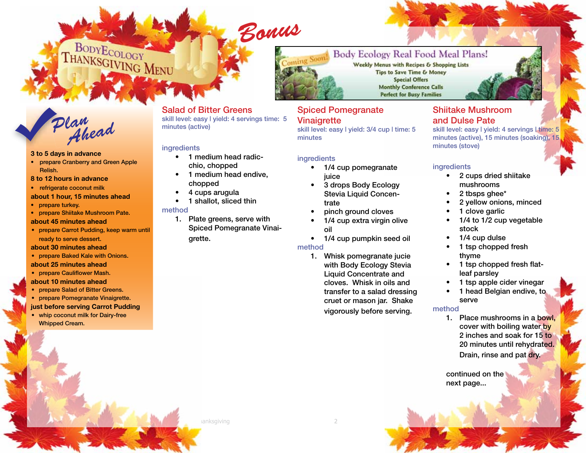### Body Ecology Real Food Meal Plans! oming Soon

Weekly Menus with Recipes & Shopping Lists **Tips to Save Time & Money Special Offers Monthly Conference Calls Perfect for Busy Families** 

# *Plan Ahead*

BODYECOLOGY

THANKSGIVING MENU

### **3 to 5 days in advance**

- prepare Cranberry and Green Apple Relish.
- **8 to 12 hours in advance**
- refrigerate coconut milk
- **about 1 hour, 15 minutes ahead**
- prepare turkey.
- prepare Shiitake Mushroom Pate.

### **about 45 minutes ahead**

• prepare Carrot Pudding, keep warm until ready to serve dessert.

### **about 30 minutes ahead**

- prepare Baked Kale with Onions.
- **about 25 minutes ahead**
- **prepare Cauliflower Mash.**
- **about 10 minutes ahead**
- • prepare Salad of Bitter Greens. • prepare Pomegranate Vinaigrette.

### **just before serving Carrot Pudding**

• whip coconut milk for Dairy-free Whipped Cream.

### Salad of Bitter Greens

skill level: easy I vield: 4 servings time: 5 minutes (active)

### **ingredients**

- • 1 medium head radicchio, chopped
- 1 medium head endive, chopped
- • 4 cups arugula
- 1 shallot, sliced thin

### method

1. Plate greens, serve with Spiced Pomegranate Vinaigrette.

### Spiced Pomegranate **Vinaigrette**

skill level: easy I yield: 3/4 cup I time: 5 minutes

### ingredients

- 1/4 cup pomegranate iuice
- 3 drops Body Ecology Stevia Liquid Concentrate
- pinch ground cloves
- 1/4 cup extra virgin olive oil
- 1/4 cup pumpkin seed oil

### method

1. Whisk pomegranate jucie with Body Ecology Stevia Liquid Concentrate and cloves. Whisk in oils and transfer to a salad dressing cruet or mason jar. Shake vigorously before serving.

### Shiitake Mushroom and Dulse Pate

skill level: easy I yield: 4 servings I time: 5 minutes (active), 15 minutes (soaking), 15 minutes (stove)

### ingredients

- • 2 cups dried shiitake mushrooms
- 2 tbsps ghee\*
- 2 yellow onions, minced
- 1 clove garlic
- $1/4$  to  $1/2$  cup vegetable stock
- 1/4 cup dulse
- 1 tsp chopped fresh thyme
- 1 tsp chopped fresh flatleaf parsley
- 1 tsp apple cider vinegar
- 1 head Belgian endive, to serve

### method

1. Place mushrooms in a bowl. cover with boiling water by 2 inches and soak for 15 to 20 minutes until rehydrated. Drain, rinse and pat dry.

continued on the next page...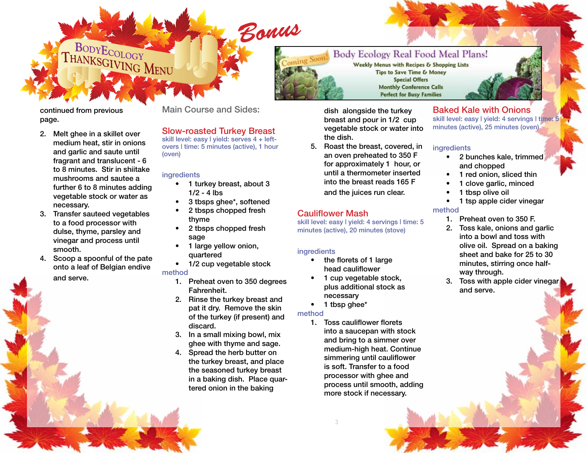

dish alongside the turkey breast and pour in 1/2 cup vegetable stock or water into the dish.

5. Roast the breast, covered, in an oven preheated to 350 F for approximately 1 hour, or until a thermometer inserted into the breast reads 165 F

### and the juices run clear.

### Cauliflower Mash

skill level: easy I yield: 4 servings I time: 5 minutes (active), 20 minutes (stove)

### ingredients

- the florets of 1 large head cauliflower
- 1 cup vegetable stock, plus additional stock as necessary
- 1 tbsp ghee\*

Body Ecology Diet: Thanksgiving 3 BodyEcology.com

### method

1. Toss cauliflower florets into a saucepan with stock and bring to a simmer over medium-high heat. Continue simmering until cauliflower is soft. Transfer to a food processor with ghee and process until smooth, adding more stock if necessary.

### Baked Kale with Onions

skill level: easy I vield: 4 servings I time: 5 minutes (active), 25 minutes (oven)

### **ingredients**

- • 2 bunches kale, trimmed and chopped
- 1 red onion, sliced thin
- 1 clove garlic, minced
- 
- 1 tsp apple cider vinegar
- 1. Preheat oven to 350 F.
- 2. Toss kale, onions and garlic into a bowl and toss with olive oil. Spread on a baking sheet and bake for 25 to 30 minutes, stirring once halfway through.
- 3. Toss with apple cider vinegar and serve.

continued from previous page.

2. Melt ghee in a skillet over medium heat, stir in onions and garlic and saute until fragrant and translucent - 6 to 8 minutes. Stir in shiitake mushrooms and sautee a further 6 to 8 minutes adding vegetable stock or water as necessary.

BODYECOLOGY

THANKSGIVING MENU

- 3. Transfer sauteed vegetables to a food processor with dulse, thyme, parsley and vinegar and process until smooth.
- 4. Scoop a spoonful of the pate onto a leaf of Belgian endive and serve.

skill level: easy I yield: serves 4 + leftovers | time: 5 minutes (active), 1 hour (oven)

Slow-roasted Turkey Breast

Main Course and Sides:

### **ingredients**

- 1 turkey breast, about 3  $1/2 - 4$  lbs
- • 3 tbsps ghee\*, softened
- 2 tbsps chopped fresh thyme
- • 2 tbsps chopped fresh sage
- 1 large yellow onion, quartered
- 1/2 cup vegetable stock

### method

- 1. Preheat oven to 350 degrees Fahrenheit.
- 2. Rinse the turkey breast and pat it dry. Remove the skin of the turkey (if present) and discard.
- 3. In a small mixing bowl, mix ghee with thyme and sage.
- 4. Spread the herb butter on the turkey breast, and place the seasoned turkey breast in a baking dish. Place quartered onion in the baking

**Special Offers** 

- 
- 1 tbsp olive oil
- method